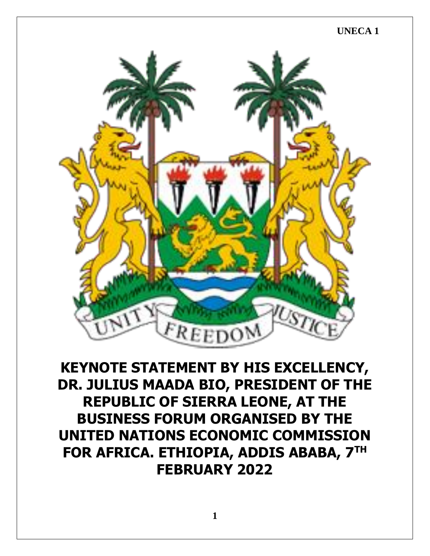## **UNECA 1**



**KEYNOTE STATEMENT BY HIS EXCELLENCY, DR. JULIUS MAADA BIO, PRESIDENT OF THE REPUBLIC OF SIERRA LEONE, AT THE BUSINESS FORUM ORGANISED BY THE UNITED NATIONS ECONOMIC COMMISSION FOR AFRICA. ETHIOPIA, ADDIS ABABA, 7TH FEBRUARY 2022**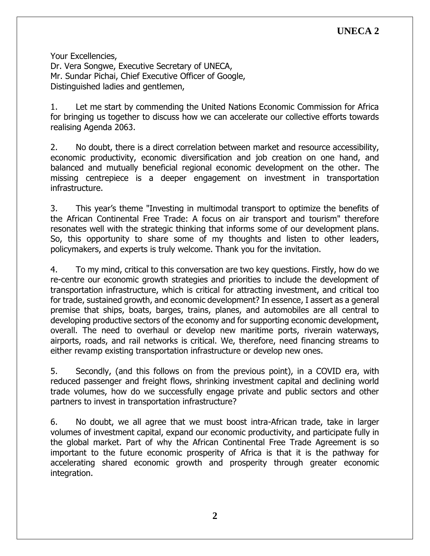## **UNECA 2**

Your Excellencies,

Dr. Vera Songwe, Executive Secretary of UNECA, Mr. Sundar Pichai, Chief Executive Officer of Google, Distinguished ladies and gentlemen,

1. Let me start by commending the United Nations Economic Commission for Africa for bringing us together to discuss how we can accelerate our collective efforts towards realising Agenda 2063.

2. No doubt, there is a direct correlation between market and resource accessibility, economic productivity, economic diversification and job creation on one hand, and balanced and mutually beneficial regional economic development on the other. The missing centrepiece is a deeper engagement on investment in transportation infrastructure.

3. This year's theme "Investing in multimodal transport to optimize the benefits of the African Continental Free Trade: A focus on air transport and tourism" therefore resonates well with the strategic thinking that informs some of our development plans. So, this opportunity to share some of my thoughts and listen to other leaders, policymakers, and experts is truly welcome. Thank you for the invitation.

4. To my mind, critical to this conversation are two key questions. Firstly, how do we re-centre our economic growth strategies and priorities to include the development of transportation infrastructure, which is critical for attracting investment, and critical too for trade, sustained growth, and economic development? In essence, I assert as a general premise that ships, boats, barges, trains, planes, and automobiles are all central to developing productive sectors of the economy and for supporting economic development, overall. The need to overhaul or develop new maritime ports, riverain waterways, airports, roads, and rail networks is critical. We, therefore, need financing streams to either revamp existing transportation infrastructure or develop new ones.

5. Secondly, (and this follows on from the previous point), in a COVID era, with reduced passenger and freight flows, shrinking investment capital and declining world trade volumes, how do we successfully engage private and public sectors and other partners to invest in transportation infrastructure?

6. No doubt, we all agree that we must boost intra-African trade, take in larger volumes of investment capital, expand our economic productivity, and participate fully in the global market. Part of why the African Continental Free Trade Agreement is so important to the future economic prosperity of Africa is that it is the pathway for accelerating shared economic growth and prosperity through greater economic integration.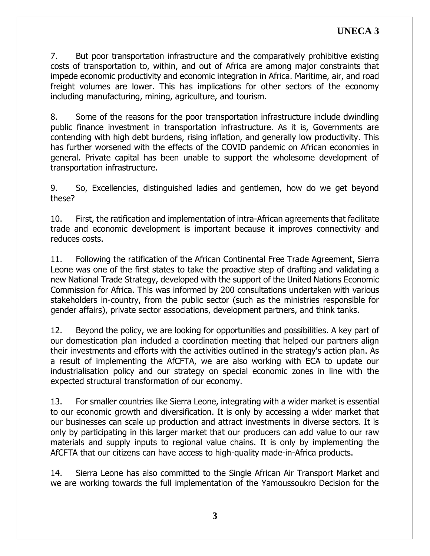7. But poor transportation infrastructure and the comparatively prohibitive existing costs of transportation to, within, and out of Africa are among major constraints that impede economic productivity and economic integration in Africa. Maritime, air, and road freight volumes are lower. This has implications for other sectors of the economy including manufacturing, mining, agriculture, and tourism.

8. Some of the reasons for the poor transportation infrastructure include dwindling public finance investment in transportation infrastructure. As it is, Governments are contending with high debt burdens, rising inflation, and generally low productivity. This has further worsened with the effects of the COVID pandemic on African economies in general. Private capital has been unable to support the wholesome development of transportation infrastructure.

9. So, Excellencies, distinguished ladies and gentlemen, how do we get beyond these?

10. First, the ratification and implementation of intra-African agreements that facilitate trade and economic development is important because it improves connectivity and reduces costs.

11. Following the ratification of the African Continental Free Trade Agreement, Sierra Leone was one of the first states to take the proactive step of drafting and validating a new National Trade Strategy, developed with the support of the United Nations Economic Commission for Africa. This was informed by 200 consultations undertaken with various stakeholders in-country, from the public sector (such as the ministries responsible for gender affairs), private sector associations, development partners, and think tanks.

12. Beyond the policy, we are looking for opportunities and possibilities. A key part of our domestication plan included a coordination meeting that helped our partners align their investments and efforts with the activities outlined in the strategy's action plan. As a result of implementing the AfCFTA, we are also working with ECA to update our industrialisation policy and our strategy on special economic zones in line with the expected structural transformation of our economy.

13. For smaller countries like Sierra Leone, integrating with a wider market is essential to our economic growth and diversification. It is only by accessing a wider market that our businesses can scale up production and attract investments in diverse sectors. It is only by participating in this larger market that our producers can add value to our raw materials and supply inputs to regional value chains. It is only by implementing the AfCFTA that our citizens can have access to high-quality made-in-Africa products.

14. Sierra Leone has also committed to the Single African Air Transport Market and we are working towards the full implementation of the Yamoussoukro Decision for the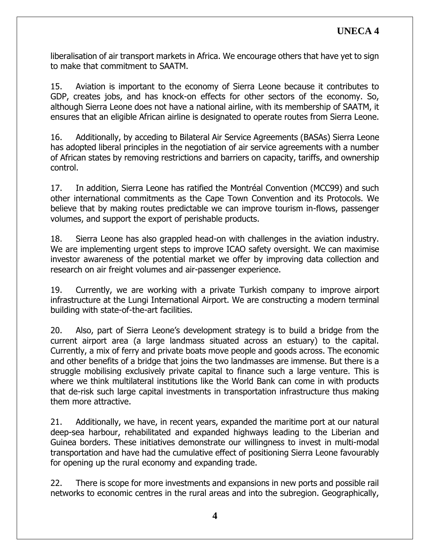liberalisation of air transport markets in Africa. We encourage others that have yet to sign to make that commitment to SAATM.

15. Aviation is important to the economy of Sierra Leone because it contributes to GDP, creates jobs, and has knock-on effects for other sectors of the economy. So, although Sierra Leone does not have a national airline, with its membership of SAATM, it ensures that an eligible African airline is designated to operate routes from Sierra Leone.

16. Additionally, by acceding to Bilateral Air Service Agreements (BASAs) Sierra Leone has adopted liberal principles in the negotiation of air service agreements with a number of African states by removing restrictions and barriers on capacity, tariffs, and ownership control.

17. In addition, Sierra Leone has ratified the Montréal Convention (MCC99) and such other international commitments as the Cape Town Convention and its Protocols. We believe that by making routes predictable we can improve tourism in-flows, passenger volumes, and support the export of perishable products.

18. Sierra Leone has also grappled head-on with challenges in the aviation industry. We are implementing urgent steps to improve ICAO safety oversight. We can maximise investor awareness of the potential market we offer by improving data collection and research on air freight volumes and air-passenger experience.

19. Currently, we are working with a private Turkish company to improve airport infrastructure at the Lungi International Airport. We are constructing a modern terminal building with state-of-the-art facilities.

20. Also, part of Sierra Leone's development strategy is to build a bridge from the current airport area (a large landmass situated across an estuary) to the capital. Currently, a mix of ferry and private boats move people and goods across. The economic and other benefits of a bridge that joins the two landmasses are immense. But there is a struggle mobilising exclusively private capital to finance such a large venture. This is where we think multilateral institutions like the World Bank can come in with products that de-risk such large capital investments in transportation infrastructure thus making them more attractive.

21. Additionally, we have, in recent years, expanded the maritime port at our natural deep-sea harbour, rehabilitated and expanded highways leading to the Liberian and Guinea borders. These initiatives demonstrate our willingness to invest in multi-modal transportation and have had the cumulative effect of positioning Sierra Leone favourably for opening up the rural economy and expanding trade.

22. There is scope for more investments and expansions in new ports and possible rail networks to economic centres in the rural areas and into the subregion. Geographically,